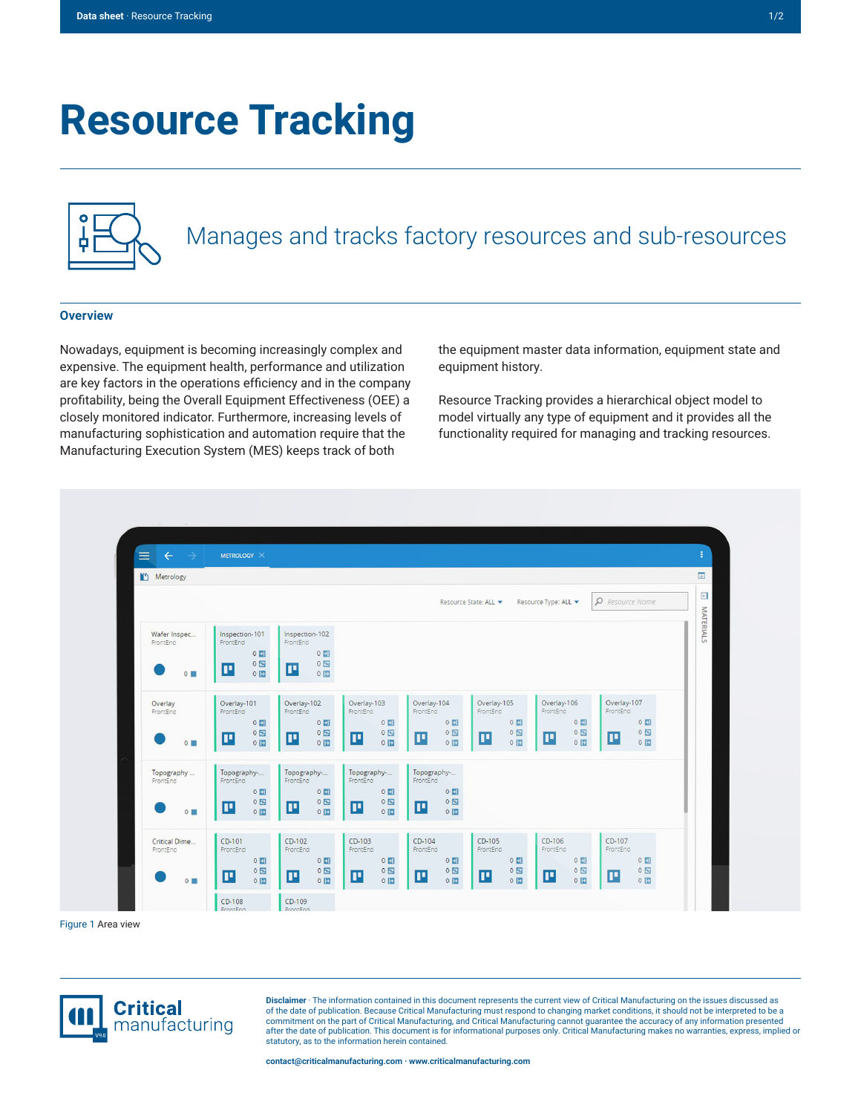# **Resource Tracking**



## Manages and tracks factory resources and sub-resources

#### **Overview**

Nowadays, equipment is becoming increasingly complex and expensive. The equipment health, performance and utilization are key factors in the operations efficiency and in the company profitability, being the Overall Equipment Effectiveness (OEE) a closely monitored indicator. Furthermore, increasing levels of manufacturing sophistication and automation require that the Manufacturing Execution System (MES) keeps track of both

the equipment master data information, equipment state and equipment history.

Resource Tracking provides a hierarchical object model to model virtually any type of equipment and it provides all the functionality required for managing and tracking resources.



Figure 1 Area view



**Disclaimer** · The information contained in this document represents the current view of Critical Manufacturing on the issues discussed as of the date of publication. Because Critical Manufacturing must respond to changing market conditions, it should not be interpreted to be a commitment on the part of Critical Manufacturing, and Critical Manufacturing cannot guarantee the accuracy of any information presented after the date of publication. This document is for informational purposes only. Critical Manufacturing makes no warranties, express, implied or statutory, as to the information herein contained.